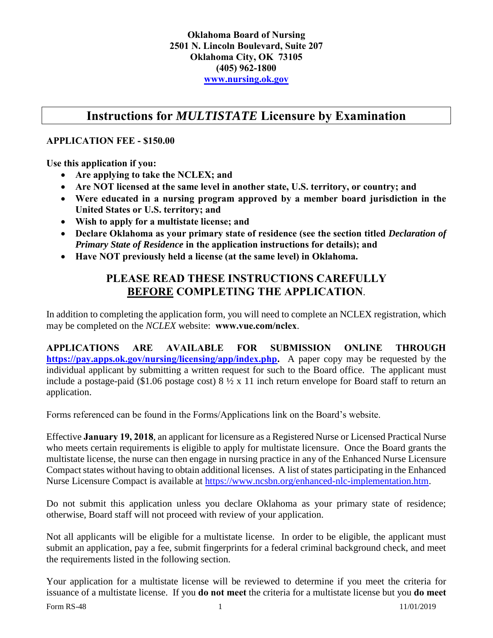#### **Instructions for** *MULTISTATE* **Licensure by Examination**

#### **APPLICATION FEE - \$150.00**

**Use this application if you:**

- **Are applying to take the NCLEX; and**
- **Are NOT licensed at the same level in another state, U.S. territory, or country; and**
- **Were educated in a nursing program approved by a member board jurisdiction in the United States or U.S. territory; and**
- **Wish to apply for a multistate license; and**
- **Declare Oklahoma as your primary state of residence (see the section titled** *Declaration of Primary State of Residence* **in the application instructions for details); and**
- **Have NOT previously held a license (at the same level) in Oklahoma.**

#### **PLEASE READ THESE INSTRUCTIONS CAREFULLY BEFORE COMPLETING THE APPLICATION**.

In addition to completing the application form, you will need to complete an NCLEX registration, which may be completed on the *NCLEX* website: **www.vue.com/nclex**.

**APPLICATIONS ARE AVAILABLE FOR SUBMISSION ONLINE THROUGH [https://pay.apps.ok.gov/nursing/licensing/app/index.php.](https://pay.apps.ok.gov/nursing/licensing/app/index.php)** A paper copy may be requested by the individual applicant by submitting a written request for such to the Board office. The applicant must include a postage-paid (\$1.06 postage cost) 8 ½ x 11 inch return envelope for Board staff to return an application.

Forms referenced can be found in the Forms/Applications link on the Board's website.

Effective **January 19, 2018**, an applicant for licensure as a Registered Nurse or Licensed Practical Nurse who meets certain requirements is eligible to apply for multistate licensure. Once the Board grants the multistate license, the nurse can then engage in nursing practice in any of the Enhanced Nurse Licensure Compact states without having to obtain additional licenses. A list of states participating in the Enhanced Nurse Licensure Compact is available at [https://www.ncsbn.org/enhanced-nlc-implementation.htm.](https://www.ncsbn.org/enhanced-nlc-implementation.htm)

Do not submit this application unless you declare Oklahoma as your primary state of residence; otherwise, Board staff will not proceed with review of your application.

Not all applicants will be eligible for a multistate license. In order to be eligible, the applicant must submit an application, pay a fee, submit fingerprints for a federal criminal background check, and meet the requirements listed in the following section.

Your application for a multistate license will be reviewed to determine if you meet the criteria for issuance of a multistate license. If you **do not meet** the criteria for a multistate license but you **do meet**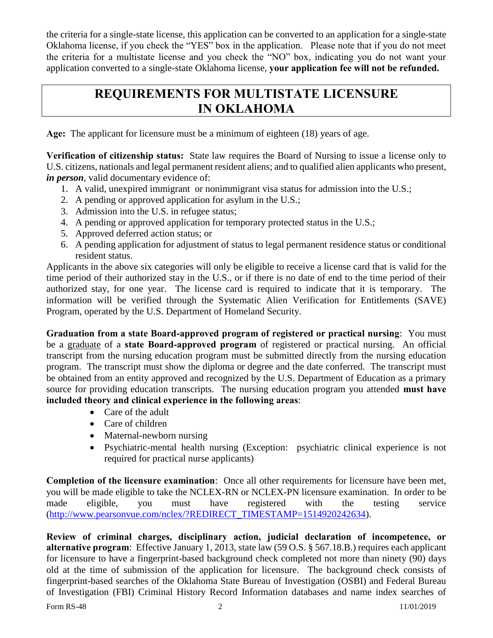the criteria for a single-state license, this application can be converted to an application for a single-state Oklahoma license, if you check the "YES" box in the application. Please note that if you do not meet the criteria for a multistate license and you check the "NO" box, indicating you do not want your application converted to a single-state Oklahoma license, **your application fee will not be refunded.** 

#### **REQUIREMENTS FOR MULTISTATE LICENSURE IN OKLAHOMA**

**Age:** The applicant for licensure must be a minimum of eighteen (18) years of age.

**Verification of citizenship status:** State law requires the Board of Nursing to issue a license only to U.S. citizens, nationals and legal permanent resident aliens; and to qualified alien applicants who present, *in person*, valid documentary evidence of:

- 1. A valid, unexpired immigrant or nonimmigrant visa status for admission into the U.S.;
- 2. A pending or approved application for asylum in the U.S.;
- 3. Admission into the U.S. in refugee status;
- 4. A pending or approved application for temporary protected status in the U.S.;
- 5. Approved deferred action status; or
- 6. A pending application for adjustment of status to legal permanent residence status or conditional resident status.

Applicants in the above six categories will only be eligible to receive a license card that is valid for the time period of their authorized stay in the U.S., or if there is no date of end to the time period of their authorized stay, for one year. The license card is required to indicate that it is temporary. The information will be verified through the Systematic Alien Verification for Entitlements (SAVE) Program, operated by the U.S. Department of Homeland Security.

**Graduation from a state Board-approved program of registered or practical nursing**: You must be a graduate of a **state Board-approved program** of registered or practical nursing. An official transcript from the nursing education program must be submitted directly from the nursing education program. The transcript must show the diploma or degree and the date conferred. The transcript must be obtained from an entity approved and recognized by the U.S. Department of Education as a primary source for providing education transcripts. The nursing education program you attended **must have included theory and clinical experience in the following areas**:

- Care of the adult
- Care of children
- Maternal-newborn nursing
- Psychiatric-mental health nursing (Exception: psychiatric clinical experience is not required for practical nurse applicants)

**Completion of the licensure examination**: Once all other requirements for licensure have been met, you will be made eligible to take the NCLEX-RN or NCLEX-PN licensure examination. In order to be made eligible, you must have registered with the testing service [\(http://www.pearsonvue.com/nclex/?REDIRECT\\_TIMESTAMP=1514920242634\)](http://www.pearsonvue.com/nclex/?REDIRECT_TIMESTAMP=1514920242634).

**Review of criminal charges, disciplinary action, judicial declaration of incompetence, or alternative program**: Effective January 1, 2013, state law (59 O.S. § 567.18.B.) requires each applicant for licensure to have a fingerprint-based background check completed not more than ninety (90) days old at the time of submission of the application for licensure. The background check consists of fingerprint-based searches of the Oklahoma State Bureau of Investigation (OSBI) and Federal Bureau of Investigation (FBI) Criminal History Record Information databases and name index searches of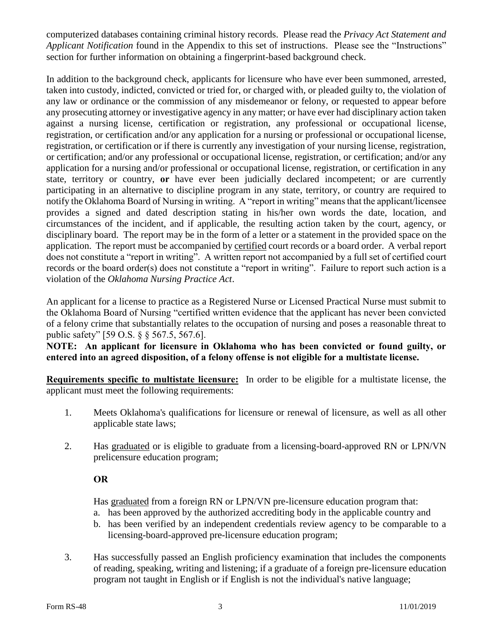computerized databases containing criminal history records. Please read the *Privacy Act Statement and Applicant Notification* found in the Appendix to this set of instructions. Please see the "Instructions" section for further information on obtaining a fingerprint-based background check.

In addition to the background check, applicants for licensure who have ever been summoned, arrested, taken into custody, indicted, convicted or tried for, or charged with, or pleaded guilty to, the violation of any law or ordinance or the commission of any misdemeanor or felony, or requested to appear before any prosecuting attorney or investigative agency in any matter; or have ever had disciplinary action taken against a nursing license, certification or registration, any professional or occupational license, registration, or certification and/or any application for a nursing or professional or occupational license, registration, or certification or if there is currently any investigation of your nursing license, registration, or certification; and/or any professional or occupational license, registration, or certification; and/or any application for a nursing and/or professional or occupational license, registration, or certification in any state, territory or country, **or** have ever been judicially declared incompetent; or are currently participating in an alternative to discipline program in any state, territory, or country are required to notify the Oklahoma Board of Nursing in writing. A "report in writing" means that the applicant/licensee provides a signed and dated description stating in his/her own words the date, location, and circumstances of the incident, and if applicable, the resulting action taken by the court, agency, or disciplinary board. The report may be in the form of a letter or a statement in the provided space on the application. The report must be accompanied by certified court records or a board order. A verbal report does not constitute a "report in writing". A written report not accompanied by a full set of certified court records or the board order(s) does not constitute a "report in writing". Failure to report such action is a violation of the *Oklahoma Nursing Practice Act*.

An applicant for a license to practice as a Registered Nurse or Licensed Practical Nurse must submit to the Oklahoma Board of Nursing "certified written evidence that the applicant has never been convicted of a felony crime that substantially relates to the occupation of nursing and poses a reasonable threat to public safety" [59 O.S. § § 567.5, 567.6].

**NOTE: An applicant for licensure in Oklahoma who has been convicted or found guilty, or entered into an agreed disposition, of a felony offense is not eligible for a multistate license.**

**Requirements specific to multistate licensure:** In order to be eligible for a multistate license, the applicant must meet the following requirements:

- 1. Meets Oklahoma's qualifications for licensure or renewal of licensure, as well as all other applicable state laws;
- 2. Has graduated or is eligible to graduate from a licensing-board-approved RN or LPN/VN prelicensure education program;

#### **OR**

Has graduated from a foreign RN or LPN/VN pre-licensure education program that:

- a. has been approved by the authorized accrediting body in the applicable country and
- b. has been verified by an independent credentials review agency to be comparable to a licensing-board-approved pre-licensure education program;
- 3. Has successfully passed an English proficiency examination that includes the components of reading, speaking, writing and listening; if a graduate of a foreign pre-licensure education program not taught in English or if English is not the individual's native language;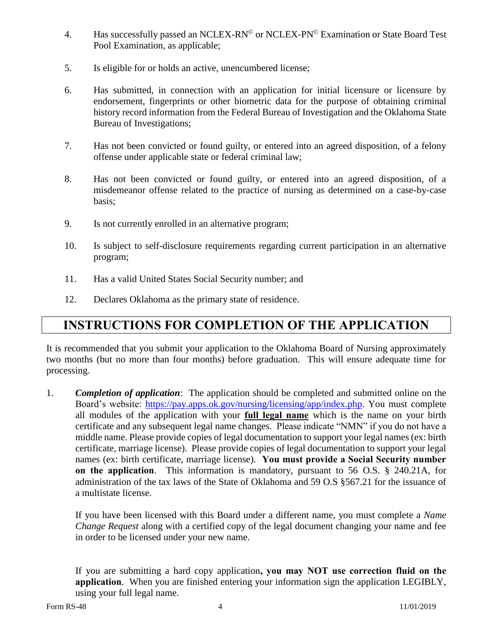- 4. Has successfully passed an NCLEX-RN<sup>®</sup> or NCLEX-PN<sup>®</sup> Examination or State Board Test Pool Examination, as applicable;
- 5. Is eligible for or holds an active, unencumbered license;
- 6. Has submitted, in connection with an application for initial licensure or licensure by endorsement, fingerprints or other biometric data for the purpose of obtaining criminal history record information from the Federal Bureau of Investigation and the Oklahoma State Bureau of Investigations;
- 7. Has not been convicted or found guilty, or entered into an agreed disposition, of a felony offense under applicable state or federal criminal law;
- 8. Has not been convicted or found guilty, or entered into an agreed disposition, of a misdemeanor offense related to the practice of nursing as determined on a case-by-case basis;
- 9. Is not currently enrolled in an alternative program;
- 10. Is subject to self-disclosure requirements regarding current participation in an alternative program;
- 11. Has a valid United States Social Security number; and
- 12. Declares Oklahoma as the primary state of residence.

#### **INSTRUCTIONS FOR COMPLETION OF THE APPLICATION**

It is recommended that you submit your application to the Oklahoma Board of Nursing approximately two months (but no more than four months) before graduation. This will ensure adequate time for processing.

1. *Completion of application*: The application should be completed and submitted online on the Board's website: [https://pay.apps.ok.gov/nursing/licensing/app/index.php.](https://pay.apps.ok.gov/nursing/licensing/app/index.php) You must complete all modules of the application with your **full legal name** which is the name on your birth certificate and any subsequent legal name changes. Please indicate "NMN" if you do not have a middle name. Please provide copies of legal documentation to support your legal names (ex: birth certificate, marriage license). Please provide copies of legal documentation to support your legal names (ex: birth certificate, marriage license). **You must provide a Social Security number on the application**. This information is mandatory, pursuant to 56 O.S. § 240.21A, for administration of the tax laws of the State of Oklahoma and 59 O.S §567.21 for the issuance of a multistate license.

If you have been licensed with this Board under a different name, you must complete a *Name Change Request* along with a certified copy of the legal document changing your name and fee in order to be licensed under your new name.

If you are submitting a hard copy application**, you may NOT use correction fluid on the application**. When you are finished entering your information sign the application LEGIBLY, using your full legal name.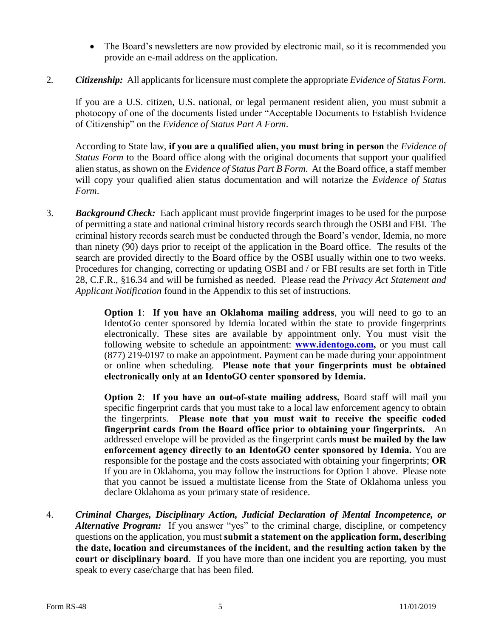- The Board's newsletters are now provided by electronic mail, so it is recommended you provide an e-mail address on the application.
- 2*. Citizenship:* All applicants for licensure must complete the appropriate *Evidence of Status Form.*

If you are a U.S. citizen, U.S. national, or legal permanent resident alien, you must submit a photocopy of one of the documents listed under "Acceptable Documents to Establish Evidence of Citizenship" on the *Evidence of Status Part A Form*.

According to State law, **if you are a qualified alien, you must bring in person** the *Evidence of Status Form* to the Board office along with the original documents that support your qualified alien status, as shown on the *Evidence of Status Part B Form*. At the Board office, a staff member will copy your qualified alien status documentation and will notarize the *Evidence of Status Form*.

3. *Background Check:* Each applicant must provide fingerprint images to be used for the purpose of permitting a state and national criminal history records search through the OSBI and FBI. The criminal history records search must be conducted through the Board's vendor, Idemia, no more than ninety (90) days prior to receipt of the application in the Board office. The results of the search are provided directly to the Board office by the OSBI usually within one to two weeks. Procedures for changing, correcting or updating OSBI and / or FBI results are set forth in Title 28, C.F.R., §16.34 and will be furnished as needed. Please read the *Privacy Act Statement and Applicant Notification* found in the Appendix to this set of instructions.

> **Option 1:** If you have an Oklahoma mailing address, you will need to go to an IdentoGo center sponsored by Idemia located within the state to provide fingerprints electronically. These sites are available by appointment only. You must visit the following website to schedule an appointment: **[www.identogo.com,](http://www.identogo.com/)** or you must call (877) 219-0197 to make an appointment. Payment can be made during your appointment or online when scheduling. **Please note that your fingerprints must be obtained electronically only at an IdentoGO center sponsored by Idemia.**

> **Option 2**: **If you have an out-of-state mailing address,** Board staff will mail you specific fingerprint cards that you must take to a local law enforcement agency to obtain the fingerprints. **Please note that you must wait to receive the specific coded fingerprint cards from the Board office prior to obtaining your fingerprints.** An addressed envelope will be provided as the fingerprint cards **must be mailed by the law enforcement agency directly to an IdentoGO center sponsored by Idemia.** You are responsible for the postage and the costs associated with obtaining your fingerprints; **OR** If you are in Oklahoma, you may follow the instructions for Option 1 above. Please note that you cannot be issued a multistate license from the State of Oklahoma unless you declare Oklahoma as your primary state of residence.

4. *Criminal Charges, Disciplinary Action, Judicial Declaration of Mental Incompetence, or Alternative Program:* If you answer "yes" to the criminal charge, discipline, or competency questions on the application, you must **submit a statement on the application form, describing the date, location and circumstances of the incident, and the resulting action taken by the court or disciplinary board**. If you have more than one incident you are reporting, you must speak to every case/charge that has been filed.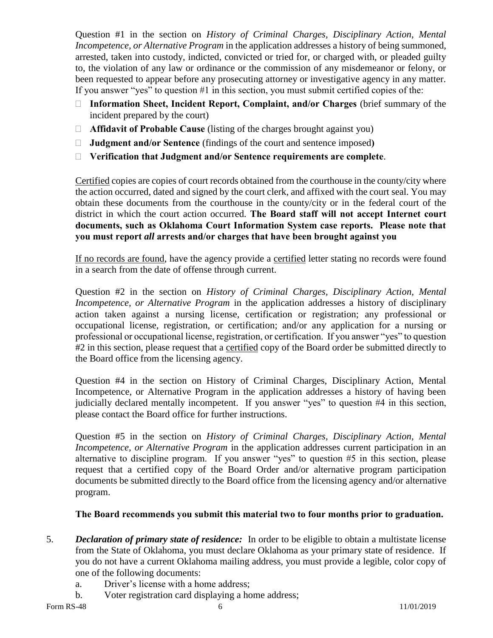Question #1 in the section on *History of Criminal Charges, Disciplinary Action, Mental Incompetence, or Alternative Program* in the application addresses a history of being summoned, arrested, taken into custody, indicted, convicted or tried for, or charged with, or pleaded guilty to, the violation of any law or ordinance or the commission of any misdemeanor or felony, or been requested to appear before any prosecuting attorney or investigative agency in any matter. If you answer "yes" to question #1 in this section, you must submit certified copies of the:

- **Information Sheet, Incident Report, Complaint, and/or Charges** (brief summary of the incident prepared by the court)
- **Affidavit of Probable Cause** (listing of the charges brought against you)
- **Judgment and/or Sentence** (findings of the court and sentence imposed**)**
- **Verification that Judgment and/or Sentence requirements are complete**.

Certified copies are copies of court records obtained from the courthouse in the county/city where the action occurred, dated and signed by the court clerk, and affixed with the court seal. You may obtain these documents from the courthouse in the county/city or in the federal court of the district in which the court action occurred. **The Board staff will not accept Internet court documents, such as Oklahoma Court Information System case reports. Please note that you must report** *all* **arrests and/or charges that have been brought against you**

If no records are found, have the agency provide a certified letter stating no records were found in a search from the date of offense through current.

Question #2 in the section on *History of Criminal Charges, Disciplinary Action, Mental Incompetence, or Alternative Program* in the application addresses a history of disciplinary action taken against a nursing license, certification or registration; any professional or occupational license, registration, or certification; and/or any application for a nursing or professional or occupational license, registration, or certification. If you answer "yes" to question #2 in this section, please request that a certified copy of the Board order be submitted directly to the Board office from the licensing agency.

Question #4 in the section on History of Criminal Charges, Disciplinary Action, Mental Incompetence, or Alternative Program in the application addresses a history of having been judicially declared mentally incompetent. If you answer "yes" to question #4 in this section, please contact the Board office for further instructions.

Question #5 in the section on *History of Criminal Charges, Disciplinary Action, Mental Incompetence, or Alternative Program* in the application addresses current participation in an alternative to discipline program. If you answer "yes" to question #5 in this section, please request that a certified copy of the Board Order and/or alternative program participation documents be submitted directly to the Board office from the licensing agency and/or alternative program.

#### **The Board recommends you submit this material two to four months prior to graduation.**

- 5. *Declaration of primary state of residence:* In order to be eligible to obtain a multistate license from the State of Oklahoma, you must declare Oklahoma as your primary state of residence. If you do not have a current Oklahoma mailing address, you must provide a legible, color copy of one of the following documents:
	- a. Driver's license with a home address;
	- b. Voter registration card displaying a home address;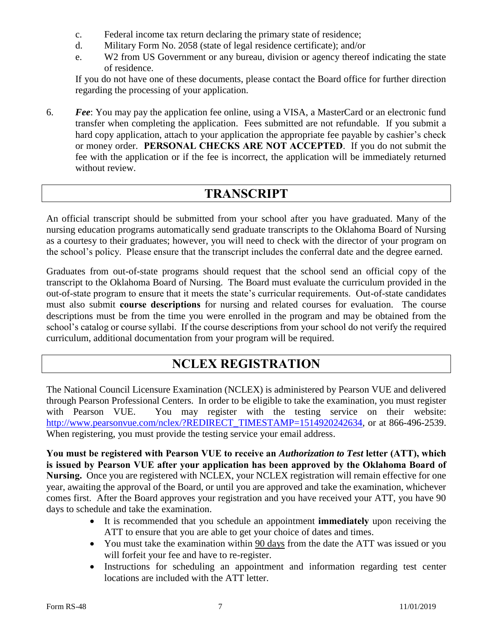- c. Federal income tax return declaring the primary state of residence;
- d. Military Form No. 2058 (state of legal residence certificate); and/or
- e. W2 from US Government or any bureau, division or agency thereof indicating the state of residence.

If you do not have one of these documents, please contact the Board office for further direction regarding the processing of your application.

6. *Fee*: You may pay the application fee online, using a VISA, a MasterCard or an electronic fund transfer when completing the application. Fees submitted are not refundable. If you submit a hard copy application, attach to your application the appropriate fee payable by cashier's check or money order. **PERSONAL CHECKS ARE NOT ACCEPTED**. If you do not submit the fee with the application or if the fee is incorrect, the application will be immediately returned without review.

#### **TRANSCRIPT**

An official transcript should be submitted from your school after you have graduated. Many of the nursing education programs automatically send graduate transcripts to the Oklahoma Board of Nursing as a courtesy to their graduates; however, you will need to check with the director of your program on the school's policy. Please ensure that the transcript includes the conferral date and the degree earned.

Graduates from out-of-state programs should request that the school send an official copy of the transcript to the Oklahoma Board of Nursing. The Board must evaluate the curriculum provided in the out-of-state program to ensure that it meets the state's curricular requirements. Out-of-state candidates must also submit **course descriptions** for nursing and related courses for evaluation. The course descriptions must be from the time you were enrolled in the program and may be obtained from the school's catalog or course syllabi. If the course descriptions from your school do not verify the required curriculum, additional documentation from your program will be required.

### **NCLEX REGISTRATION**

The National Council Licensure Examination (NCLEX) is administered by Pearson VUE and delivered through Pearson Professional Centers. In order to be eligible to take the examination, you must register with Pearson VUE. You may register with the testing service on their website: [http://www.pearsonvue.com/nclex/?REDIRECT\\_TIMESTAMP=1514920242634,](http://www.pearsonvue.com/nclex/?REDIRECT_TIMESTAMP=1514920242634) or at 866-496-2539. When registering, you must provide the testing service your email address.

**You must be registered with Pearson VUE to receive an** *Authorization to Test* **letter (ATT), which is issued by Pearson VUE after your application has been approved by the Oklahoma Board of Nursing.** Once you are registered with NCLEX, your NCLEX registration will remain effective for one year, awaiting the approval of the Board, or until you are approved and take the examination, whichever comes first. After the Board approves your registration and you have received your ATT, you have 90 days to schedule and take the examination.

- It is recommended that you schedule an appointment **immediately** upon receiving the ATT to ensure that you are able to get your choice of dates and times.
- You must take the examination within 90 days from the date the ATT was issued or you will forfeit your fee and have to re-register.
- Instructions for scheduling an appointment and information regarding test center locations are included with the ATT letter.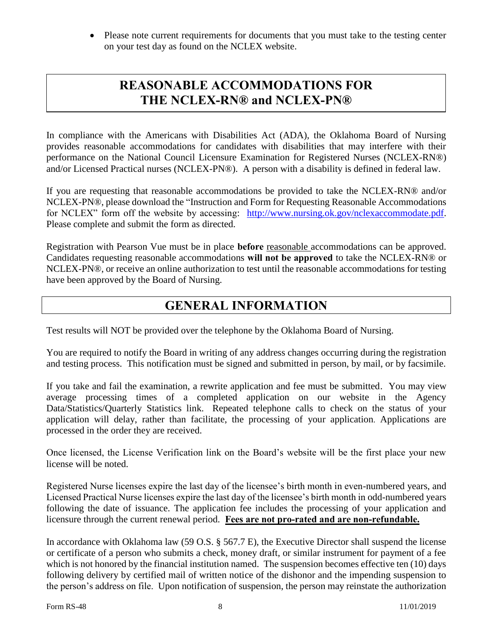• Please note current requirements for documents that you must take to the testing center on your test day as found on the NCLEX website.

#### **REASONABLE ACCOMMODATIONS FOR THE NCLEX-RN® and NCLEX-PN®**

In compliance with the Americans with Disabilities Act (ADA), the Oklahoma Board of Nursing provides reasonable accommodations for candidates with disabilities that may interfere with their performance on the National Council Licensure Examination for Registered Nurses (NCLEX-RN®) and/or Licensed Practical nurses (NCLEX-PN®). A person with a disability is defined in federal law.

If you are requesting that reasonable accommodations be provided to take the NCLEX-RN® and/or NCLEX-PN®, please download the "Instruction and Form for Requesting Reasonable Accommodations for NCLEX" form off the website by accessing: [http://www.nursing.ok.gov/nclexaccommodate.pdf.](http://www.nursing.ok.gov/nclexaccommodate.pdf) Please complete and submit the form as directed.

Registration with Pearson Vue must be in place **before** reasonable accommodations can be approved. Candidates requesting reasonable accommodations **will not be approved** to take the NCLEX-RN® or NCLEX-PN®, or receive an online authorization to test until the reasonable accommodations for testing have been approved by the Board of Nursing.

#### **GENERAL INFORMATION**

Test results will NOT be provided over the telephone by the Oklahoma Board of Nursing.

You are required to notify the Board in writing of any address changes occurring during the registration and testing process. This notification must be signed and submitted in person, by mail, or by facsimile.

If you take and fail the examination, a rewrite application and fee must be submitted. You may view average processing times of a completed application on our website in the Agency Data/Statistics/Quarterly Statistics link. Repeated telephone calls to check on the status of your application will delay, rather than facilitate, the processing of your application. Applications are processed in the order they are received.

Once licensed, the License Verification link on the Board's website will be the first place your new license will be noted.

Registered Nurse licenses expire the last day of the licensee's birth month in even-numbered years, and Licensed Practical Nurse licenses expire the last day of the licensee's birth month in odd-numbered years following the date of issuance. The application fee includes the processing of your application and licensure through the current renewal period. **Fees are not pro-rated and are non-refundable.**

In accordance with Oklahoma law (59 O.S. § 567.7 E), the Executive Director shall suspend the license or certificate of a person who submits a check, money draft, or similar instrument for payment of a fee which is not honored by the financial institution named. The suspension becomes effective ten (10) days following delivery by certified mail of written notice of the dishonor and the impending suspension to the person's address on file. Upon notification of suspension, the person may reinstate the authorization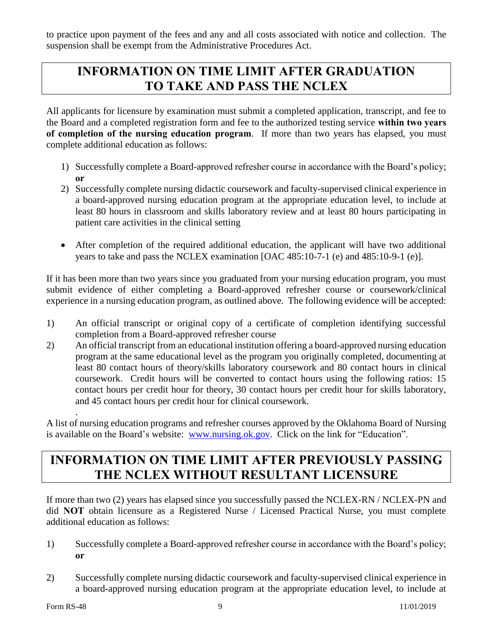to practice upon payment of the fees and any and all costs associated with notice and collection. The suspension shall be exempt from the Administrative Procedures Act.

### **INFORMATION ON TIME LIMIT AFTER GRADUATION TO TAKE AND PASS THE NCLEX**

All applicants for licensure by examination must submit a completed application, transcript, and fee to the Board and a completed registration form and fee to the authorized testing service **within two years of completion of the nursing education program**. If more than two years has elapsed, you must complete additional education as follows:

- 1) Successfully complete a Board-approved refresher course in accordance with the Board's policy; **or**
- 2) Successfully complete nursing didactic coursework and faculty-supervised clinical experience in a board-approved nursing education program at the appropriate education level, to include at least 80 hours in classroom and skills laboratory review and at least 80 hours participating in patient care activities in the clinical setting
- After completion of the required additional education, the applicant will have two additional years to take and pass the NCLEX examination [OAC 485:10-7-1 (e) and 485:10-9-1 (e)].

If it has been more than two years since you graduated from your nursing education program, you must submit evidence of either completing a Board-approved refresher course or coursework/clinical experience in a nursing education program, as outlined above. The following evidence will be accepted:

- 1) An official transcript or original copy of a certificate of completion identifying successful completion from a Board-approved refresher course
- 2) An official transcript from an educational institution offering a board-approved nursing education program at the same educational level as the program you originally completed, documenting at least 80 contact hours of theory/skills laboratory coursework and 80 contact hours in clinical coursework. Credit hours will be converted to contact hours using the following ratios: 15 contact hours per credit hour for theory, 30 contact hours per credit hour for skills laboratory, and 45 contact hours per credit hour for clinical coursework.

A list of nursing education programs and refresher courses approved by the Oklahoma Board of Nursing is available on the Board's website: [www.nursing.ok.gov.](http://www.ok.gov/nursing) Click on the link for "Education".

## **INFORMATION ON TIME LIMIT AFTER PREVIOUSLY PASSING THE NCLEX WITHOUT RESULTANT LICENSURE**

If more than two (2) years has elapsed since you successfully passed the NCLEX-RN / NCLEX-PN and did **NOT** obtain licensure as a Registered Nurse / Licensed Practical Nurse, you must complete additional education as follows:

- 1) Successfully complete a Board-approved refresher course in accordance with the Board's policy; **or**
- 2) Successfully complete nursing didactic coursework and faculty-supervised clinical experience in a board-approved nursing education program at the appropriate education level, to include at

.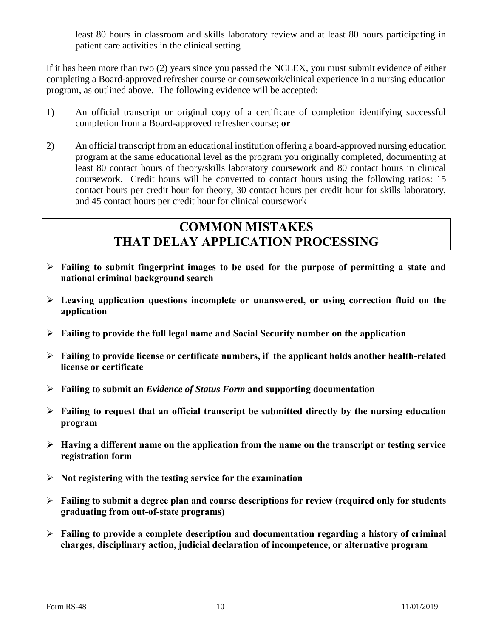least 80 hours in classroom and skills laboratory review and at least 80 hours participating in patient care activities in the clinical setting

If it has been more than two (2) years since you passed the NCLEX, you must submit evidence of either completing a Board-approved refresher course or coursework/clinical experience in a nursing education program, as outlined above. The following evidence will be accepted:

- 1) An official transcript or original copy of a certificate of completion identifying successful completion from a Board-approved refresher course; **or**
- 2) An official transcript from an educational institution offering a board-approved nursing education program at the same educational level as the program you originally completed, documenting at least 80 contact hours of theory/skills laboratory coursework and 80 contact hours in clinical coursework. Credit hours will be converted to contact hours using the following ratios: 15 contact hours per credit hour for theory, 30 contact hours per credit hour for skills laboratory, and 45 contact hours per credit hour for clinical coursework

### **COMMON MISTAKES THAT DELAY APPLICATION PROCESSING**

- **Failing to submit fingerprint images to be used for the purpose of permitting a state and national criminal background search**
- **Leaving application questions incomplete or unanswered, or using correction fluid on the application**
- **Failing to provide the full legal name and Social Security number on the application**
- **Failing to provide license or certificate numbers, if the applicant holds another health-related license or certificate**
- **Failing to submit an** *Evidence of Status Form* **and supporting documentation**
- **Failing to request that an official transcript be submitted directly by the nursing education program**
- **Having a different name on the application from the name on the transcript or testing service registration form**
- **Not registering with the testing service for the examination**
- **Failing to submit a degree plan and course descriptions for review (required only for students graduating from out-of-state programs)**
- **Failing to provide a complete description and documentation regarding a history of criminal charges, disciplinary action, judicial declaration of incompetence, or alternative program**